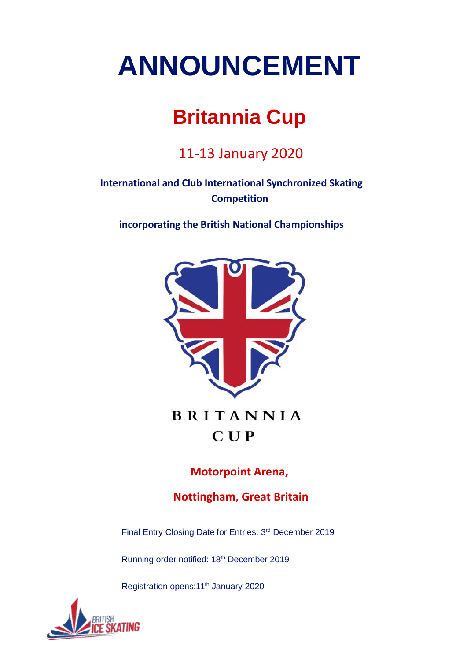# **ANNOUNCEMENT**

## **Britannia Cup**

11-13 January 2020

**International and Club International Synchronized Skating Competition** 

**incorporating the British National Championships** 



**BRITANNIA**  $CUP$ 

**Motorpoint Arena,**

**Nottingham, Great Britain**

Final Entry Closing Date for Entries: 3rd December 2019

Running order notified: 18<sup>th</sup> December 2019

Registration opens: 11<sup>th</sup> January 2020

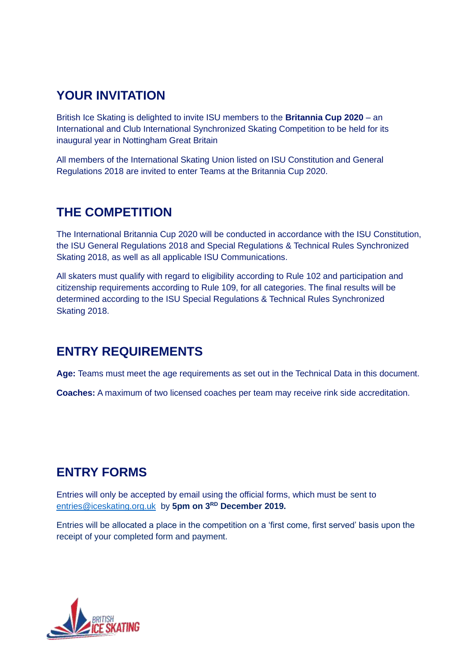### **YOUR INVITATION**

British Ice Skating is delighted to invite ISU members to the **Britannia Cup 2020** – an International and Club International Synchronized Skating Competition to be held for its inaugural year in Nottingham Great Britain

All members of the International Skating Union listed on ISU Constitution and General Regulations 2018 are invited to enter Teams at the Britannia Cup 2020.

### **THE COMPETITION**

The International Britannia Cup 2020 will be conducted in accordance with the ISU Constitution, the ISU General Regulations 2018 and Special Regulations & Technical Rules Synchronized Skating 2018, as well as all applicable ISU Communications.

All skaters must qualify with regard to eligibility according to Rule 102 and participation and citizenship requirements according to Rule 109, for all categories. The final results will be determined according to the ISU Special Regulations & Technical Rules Synchronized Skating 2018.

### **ENTRY REQUIREMENTS**

**Age:** Teams must meet the age requirements as set out in the Technical Data in this document.

**Coaches:** A maximum of two licensed coaches per team may receive rink side accreditation.

### **ENTRY FORMS**

Entries will only be accepted by email using the official forms, which must be sent to [entries@iceskating.org.uk](mailto:entries@iceskating.org.uk) by **5pm on 3RD December 2019.**

Entries will be allocated a place in the competition on a 'first come, first served' basis upon the receipt of your completed form and payment.

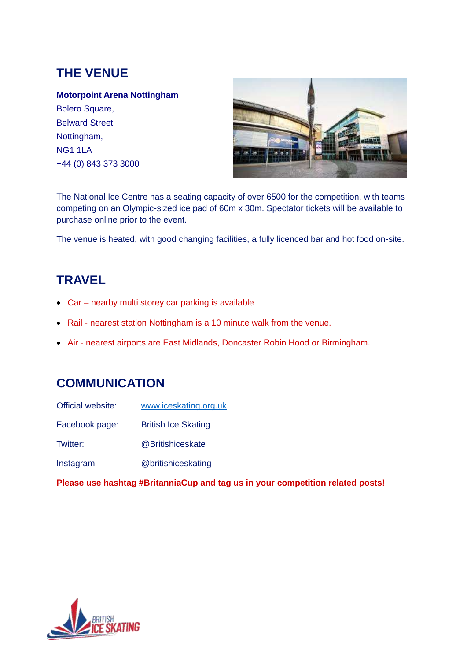### **THE VENUE**

#### **Motorpoint Arena Nottingham**

Bolero Square, Belward Street Nottingham, NG1 1LA +44 (0) 843 373 3000



The National Ice Centre has a seating capacity of over 6500 for the competition, with teams competing on an Olympic-sized ice pad of 60m x 30m. Spectator tickets will be available to purchase online prior to the event.

The venue is heated, with good changing facilities, a fully licenced bar and hot food on-site.

### **TRAVEL**

- Car nearby multi storey car parking is available
- Rail nearest station Nottingham is a 10 minute walk from the venue.
- Air nearest airports are East Midlands, Doncaster Robin Hood or Birmingham.

### **COMMUNICATION**

| Official website: | www.iceskating.org.uk      |
|-------------------|----------------------------|
| Facebook page:    | <b>British Ice Skating</b> |
| Twitter:          | @Britishiceskate           |
| Instagram         | @britishiceskating         |

**Please use hashtag #BritanniaCup and tag us in your competition related posts!**

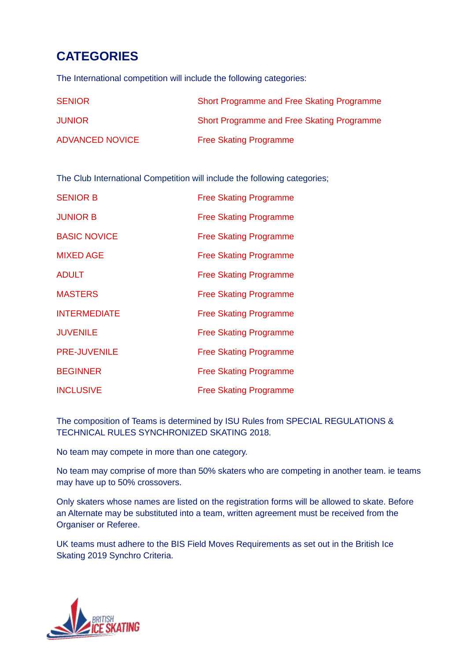### **CATEGORIES**

The International competition will include the following categories:

| <b>SENIOR</b>          | Short Programme and Free Skating Programme |
|------------------------|--------------------------------------------|
| <b>JUNIOR</b>          | Short Programme and Free Skating Programme |
| <b>ADVANCED NOVICE</b> | <b>Free Skating Programme</b>              |

The Club International Competition will include the following categories;

| <b>SENIOR B</b>     | <b>Free Skating Programme</b> |
|---------------------|-------------------------------|
| <b>JUNIOR B</b>     | <b>Free Skating Programme</b> |
| <b>BASIC NOVICE</b> | <b>Free Skating Programme</b> |
| <b>MIXED AGE</b>    | <b>Free Skating Programme</b> |
| <b>ADULT</b>        | <b>Free Skating Programme</b> |
| <b>MASTERS</b>      | <b>Free Skating Programme</b> |
| <b>INTERMEDIATE</b> | <b>Free Skating Programme</b> |
| <b>JUVENILE</b>     | <b>Free Skating Programme</b> |
| <b>PRE-JUVENILE</b> | <b>Free Skating Programme</b> |
| <b>BEGINNER</b>     | <b>Free Skating Programme</b> |
| <b>INCLUSIVE</b>    | <b>Free Skating Programme</b> |

The composition of Teams is determined by ISU Rules from SPECIAL REGULATIONS & TECHNICAL RULES SYNCHRONIZED SKATING 2018.

No team may compete in more than one category.

No team may comprise of more than 50% skaters who are competing in another team. ie teams may have up to 50% crossovers.

Only skaters whose names are listed on the registration forms will be allowed to skate. Before an Alternate may be substituted into a team, written agreement must be received from the Organiser or Referee.

UK teams must adhere to the BIS Field Moves Requirements as set out in the British Ice Skating 2019 Synchro Criteria.

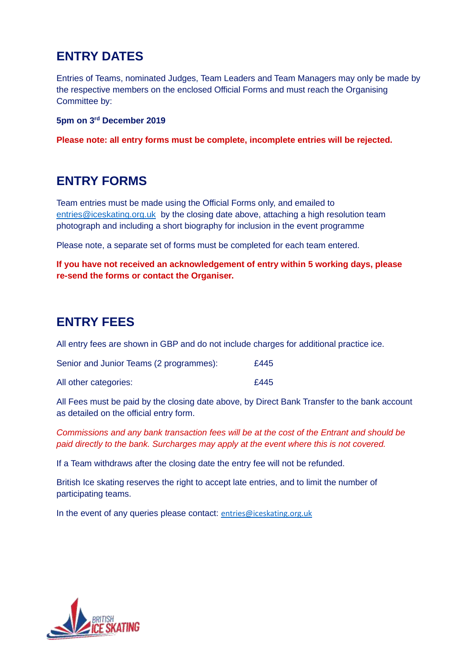### **ENTRY DATES**

Entries of Teams, nominated Judges, Team Leaders and Team Managers may only be made by the respective members on the enclosed Official Forms and must reach the Organising Committee by:

**5pm on 3rd December 2019**

**Please note: all entry forms must be complete, incomplete entries will be rejected.**

### **ENTRY FORMS**

Team entries must be made using the Official Forms only, and emailed to [entries@iceskating.org.uk](mailto:entries@iceskating.org.uk) by the closing date above, attaching a high resolution team photograph and including a short biography for inclusion in the event programme

Please note, a separate set of forms must be completed for each team entered.

**If you have not received an acknowledgement of entry within 5 working days, please re-send the forms or contact the Organiser.**

### **ENTRY FEES**

All entry fees are shown in GBP and do not include charges for additional practice ice.

| Senior and Junior Teams (2 programmes): | £445 |
|-----------------------------------------|------|
| All other categories:                   | £445 |

All Fees must be paid by the closing date above, by Direct Bank Transfer to the bank account as detailed on the official entry form.

*Commissions and any bank transaction fees will be at the cost of the Entrant and should be paid directly to the bank. Surcharges may apply at the event where this is not covered.*

If a Team withdraws after the closing date the entry fee will not be refunded.

British Ice skating reserves the right to accept late entries, and to limit the number of participating teams.

In the event of any queries please contact: [entries@iceskating.org.uk](mailto:entries@iceskating.org.uk)

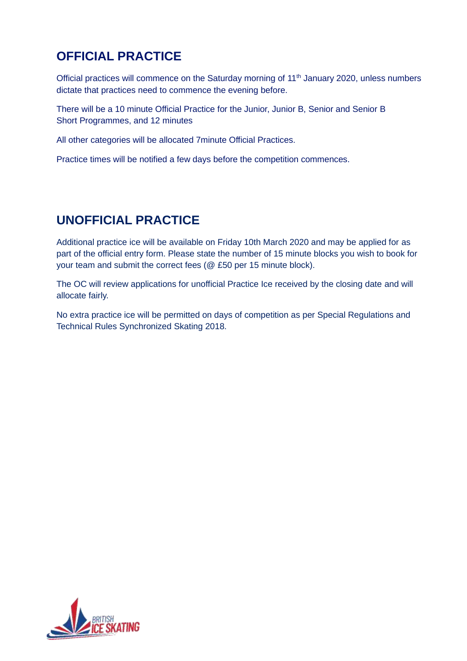### **OFFICIAL PRACTICE**

Official practices will commence on the Saturday morning of 11<sup>th</sup> January 2020, unless numbers dictate that practices need to commence the evening before.

There will be a 10 minute Official Practice for the Junior, Junior B, Senior and Senior B Short Programmes, and 12 minutes

All other categories will be allocated 7minute Official Practices.

Practice times will be notified a few days before the competition commences.

### **UNOFFICIAL PRACTICE**

Additional practice ice will be available on Friday 10th March 2020 and may be applied for as part of the official entry form. Please state the number of 15 minute blocks you wish to book for your team and submit the correct fees (@ £50 per 15 minute block).

The OC will review applications for unofficial Practice Ice received by the closing date and will allocate fairly.

No extra practice ice will be permitted on days of competition as per Special Regulations and Technical Rules Synchronized Skating 2018.

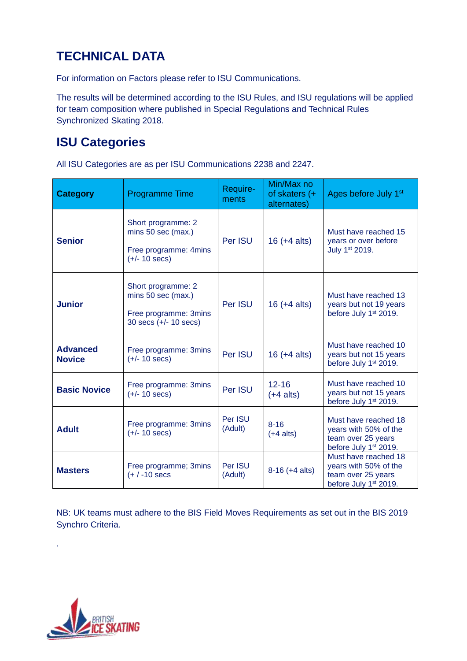### **TECHNICAL DATA**

For information on Factors please refer to ISU Communications.

The results will be determined according to the ISU Rules, and ISU regulations will be applied for team composition where published in Special Regulations and Technical Rules Synchronized Skating 2018.

### **ISU Categories**

All ISU Categories are as per ISU Communications 2238 and 2247.

| <b>Category</b>                  | <b>Programme Time</b>                                                                        | Require-<br>ments  | Min/Max no<br>of skaters $(+$<br>alternates) | Ages before July 1 <sup>st</sup>                                                                         |
|----------------------------------|----------------------------------------------------------------------------------------------|--------------------|----------------------------------------------|----------------------------------------------------------------------------------------------------------|
| <b>Senior</b>                    | Short programme: 2<br>mins 50 sec (max.)<br>Free programme: 4mins<br>$(+/- 10 \text{ secs})$ | Per ISU            | $16 (+4 alts)$                               | Must have reached 15<br>years or over before<br>July 1st 2019.                                           |
| <b>Junior</b>                    | Short programme: 2<br>mins 50 sec (max.)<br>Free programme: 3mins<br>30 secs (+/- 10 secs)   | Per ISU            | $16 (+4 alts)$                               | Must have reached 13<br>years but not 19 years<br>before July 1 <sup>st</sup> 2019.                      |
| <b>Advanced</b><br><b>Novice</b> | Free programme: 3mins<br>$(+/- 10$ secs)                                                     | Per ISU            | $16 (+4 alts)$                               | Must have reached 10<br>years but not 15 years<br>before July 1st 2019.                                  |
| <b>Basic Novice</b>              | Free programme: 3mins<br>$(+/- 10$ secs)                                                     | Per ISU            | $12 - 16$<br>$(+4$ alts)                     | Must have reached 10<br>years but not 15 years<br>before July 1 <sup>st</sup> 2019.                      |
| <b>Adult</b>                     | Free programme: 3mins<br>$(+/- 10 \text{ secs})$                                             | Per ISU<br>(Adult) | $8 - 16$<br>$(+4$ alts)                      | Must have reached 18<br>years with 50% of the<br>team over 25 years<br>before July 1 <sup>st</sup> 2019. |
| <b>Masters</b>                   | Free programme; 3mins<br>$(+ / -10$ secs                                                     | Per ISU<br>(Adult) | $8-16 (+4 alts)$                             | Must have reached 18<br>years with 50% of the<br>team over 25 years<br>before July 1st 2019.             |

NB: UK teams must adhere to the BIS Field Moves Requirements as set out in the BIS 2019 Synchro Criteria.



.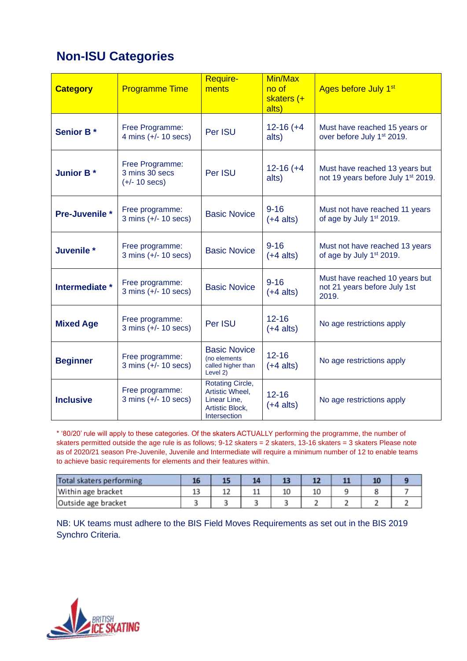### **Non-ISU Categories**

| <b>Category</b>  | <b>Programme Time</b>                                        | Require-<br>ments                                                                             | Min/Max<br>no of<br>skaters (+<br>alts) | Ages before July 1 <sup>st</sup>                                                 |
|------------------|--------------------------------------------------------------|-----------------------------------------------------------------------------------------------|-----------------------------------------|----------------------------------------------------------------------------------|
| <b>Senior B*</b> | Free Programme:<br>4 mins $(+/- 10$ secs)                    | Per ISU                                                                                       | $12-16 (+4)$<br>alts)                   | Must have reached 15 years or<br>over before July 1st 2019.                      |
| <b>Junior B*</b> | Free Programme:<br>3 mins 30 secs<br>$(+/- 10 \text{ secs})$ | Per ISU                                                                                       | $12 - 16 (+4)$<br>alts)                 | Must have reached 13 years but<br>not 19 years before July 1 <sup>st</sup> 2019. |
| Pre-Juvenile *   | Free programme:<br>$3 \text{ mins } (+/- 10 \text{ secs})$   | <b>Basic Novice</b>                                                                           | $9 - 16$<br>$(+4$ alts)                 | Must not have reached 11 years<br>of age by July 1st 2019.                       |
| Juvenile *       | Free programme:<br>$3 \text{ mins } (+/- 10 \text{ secs})$   | <b>Basic Novice</b>                                                                           | $9 - 16$<br>$(+4$ alts)                 | Must not have reached 13 years<br>of age by July 1st 2019.                       |
| Intermediate *   | Free programme:<br>$3 \text{ mins } (+/- 10 \text{ secs})$   | <b>Basic Novice</b>                                                                           | $9 - 16$<br>$(+4$ alts)                 | Must have reached 10 years but<br>not 21 years before July 1st<br>2019.          |
| <b>Mixed Age</b> | Free programme:<br>$3 \text{ mins } (+/- 10 \text{ secs})$   | Per ISU                                                                                       | $12 - 16$<br>$(+4$ alts)                | No age restrictions apply                                                        |
| <b>Beginner</b>  | Free programme:<br>$3 \text{ mins } (+/- 10 \text{ secs})$   | <b>Basic Novice</b><br>(no elements<br>called higher than<br>Level 2)                         | $12 - 16$<br>$(+4$ alts)                | No age restrictions apply                                                        |
| <b>Inclusive</b> | Free programme:<br>3 mins $(+/- 10$ secs)                    | <b>Rotating Circle,</b><br>Artistic Wheel,<br>Linear Line,<br>Artistic Block,<br>Intersection | $12 - 16$<br>$(+4$ alts)                | No age restrictions apply                                                        |

\* '80/20' rule will apply to these categories. Of the skaters ACTUALLY performing the programme, the number of skaters permitted outside the age rule is as follows; 9-12 skaters = 2 skaters, 13-16 skaters = 3 skaters Please note as of 2020/21 season Pre-Juvenile, Juvenile and Intermediate will require a minimum number of 12 to enable teams to achieve basic requirements for elements and their features within.

| Total skaters performing | 16       |     |    |  |  |  |
|--------------------------|----------|-----|----|--|--|--|
| Within age bracket       | 4.9<br>ᆦ | . . | -- |  |  |  |
| Outside age bracket      |          |     |    |  |  |  |

NB: UK teams must adhere to the BIS Field Moves Requirements as set out in the BIS 2019 Synchro Criteria.

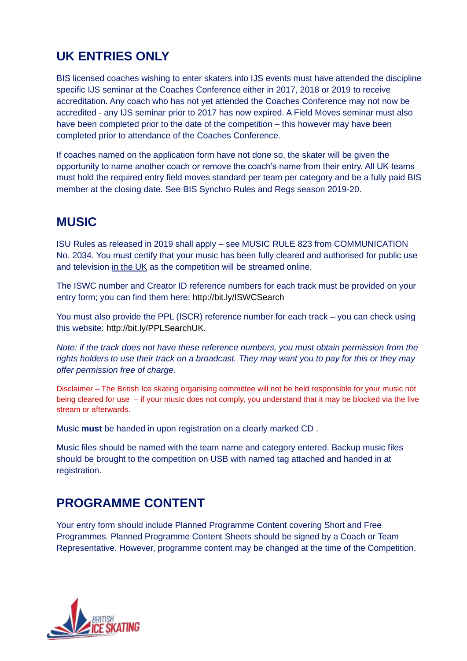### **UK ENTRIES ONLY**

BIS licensed coaches wishing to enter skaters into IJS events must have attended the discipline specific IJS seminar at the Coaches Conference either in 2017, 2018 or 2019 to receive accreditation. Any coach who has not yet attended the Coaches Conference may not now be accredited - any IJS seminar prior to 2017 has now expired. A Field Moves seminar must also have been completed prior to the date of the competition – this however may have been completed prior to attendance of the Coaches Conference.

If coaches named on the application form have not done so, the skater will be given the opportunity to name another coach or remove the coach's name from their entry. All UK teams must hold the required entry field moves standard per team per category and be a fully paid BIS member at the closing date. See BIS Synchro Rules and Regs season 2019-20.

### **MUSIC**

ISU Rules as released in 2019 shall apply – see MUSIC RULE 823 from COMMUNICATION No. 2034. You must certify that your music has been fully cleared and authorised for public use and television in the UK as the competition will be streamed online.

The ISWC number and Creator ID reference numbers for each track must be provided on your entry form; you can find them here:<http://bit.ly/ISWCSearch>

You must also provide the PPL (ISCR) reference number for each track – you can check using this website: [http://bit.ly/PPLSearchUK.](http://bit.ly/PPLSearchUK)

*Note: if the track does not have these reference numbers, you must obtain permission from the rights holders to use their track on a broadcast. They may want you to pay for this or they may offer permission free of charge.*

Disclaimer – The British Ice skating organising committee will not be held responsible for your music not being cleared for use – if your music does not comply, you understand that it may be blocked via the live stream or afterwards.

Music **must** be handed in upon registration on a clearly marked CD .

Music files should be named with the team name and category entered. Backup music files should be brought to the competition on USB with named tag attached and handed in at registration.

### **PROGRAMME CONTENT**

Your entry form should include Planned Programme Content covering Short and Free Programmes. Planned Programme Content Sheets should be signed by a Coach or Team Representative. However, programme content may be changed at the time of the Competition.

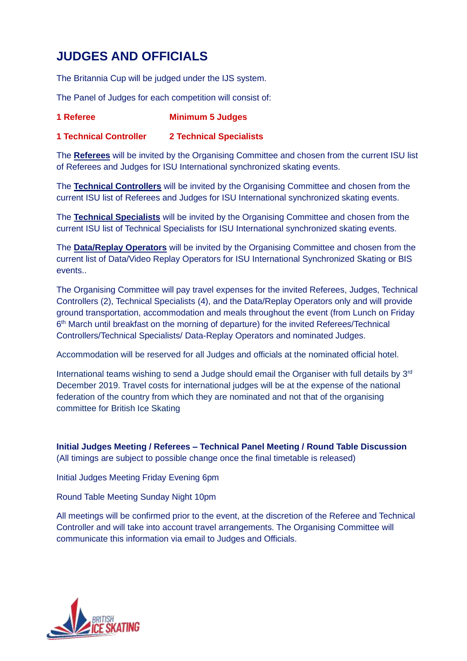### **JUDGES AND OFFICIALS**

The Britannia Cup will be judged under the IJS system.

The Panel of Judges for each competition will consist of:

#### **1 Referee Minimum 5 Judges**

#### **1 Technical Controller 2 Technical Specialists**

The **Referees** will be invited by the Organising Committee and chosen from the current ISU list of Referees and Judges for ISU International synchronized skating events.

The **Technical Controllers** will be invited by the Organising Committee and chosen from the current ISU list of Referees and Judges for ISU International synchronized skating events.

The **Technical Specialists** will be invited by the Organising Committee and chosen from the current ISU list of Technical Specialists for ISU International synchronized skating events.

The **Data/Replay Operators** will be invited by the Organising Committee and chosen from the current list of Data/Video Replay Operators for ISU International Synchronized Skating or BIS events..

The Organising Committee will pay travel expenses for the invited Referees, Judges, Technical Controllers (2), Technical Specialists (4), and the Data/Replay Operators only and will provide ground transportation, accommodation and meals throughout the event (from Lunch on Friday 6<sup>th</sup> March until breakfast on the morning of departure) for the invited Referees/Technical Controllers/Technical Specialists/ Data-Replay Operators and nominated Judges.

Accommodation will be reserved for all Judges and officials at the nominated official hotel.

International teams wishing to send a Judge should email the Organiser with full details by  $3<sup>rd</sup>$ December 2019. Travel costs for international judges will be at the expense of the national federation of the country from which they are nominated and not that of the organising committee for British Ice Skating

**Initial Judges Meeting / Referees – Technical Panel Meeting / Round Table Discussion**  (All timings are subject to possible change once the final timetable is released)

Initial Judges Meeting Friday Evening 6pm

Round Table Meeting Sunday Night 10pm

All meetings will be confirmed prior to the event, at the discretion of the Referee and Technical Controller and will take into account travel arrangements. The Organising Committee will communicate this information via email to Judges and Officials.

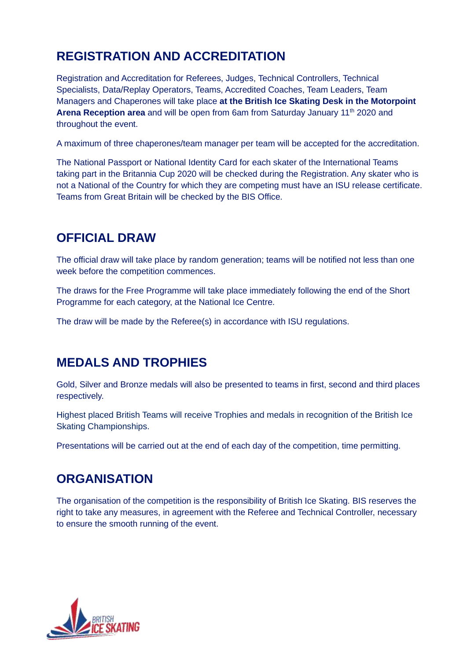### **REGISTRATION AND ACCREDITATION**

Registration and Accreditation for Referees, Judges, Technical Controllers, Technical Specialists, Data/Replay Operators, Teams, Accredited Coaches, Team Leaders, Team Managers and Chaperones will take place **at the British Ice Skating Desk in the Motorpoint Arena Reception area** and will be open from 6am from Saturday January 11<sup>th</sup> 2020 and throughout the event.

A maximum of three chaperones/team manager per team will be accepted for the accreditation.

The National Passport or National Identity Card for each skater of the International Teams taking part in the Britannia Cup 2020 will be checked during the Registration. Any skater who is not a National of the Country for which they are competing must have an ISU release certificate. Teams from Great Britain will be checked by the BIS Office.

### **OFFICIAL DRAW**

The official draw will take place by random generation; teams will be notified not less than one week before the competition commences.

The draws for the Free Programme will take place immediately following the end of the Short Programme for each category, at the National Ice Centre.

The draw will be made by the Referee(s) in accordance with ISU regulations.

### **MEDALS AND TROPHIES**

Gold, Silver and Bronze medals will also be presented to teams in first, second and third places respectively.

Highest placed British Teams will receive Trophies and medals in recognition of the British Ice Skating Championships.

Presentations will be carried out at the end of each day of the competition, time permitting.

### **ORGANISATION**

The organisation of the competition is the responsibility of British Ice Skating. BIS reserves the right to take any measures, in agreement with the Referee and Technical Controller, necessary to ensure the smooth running of the event.

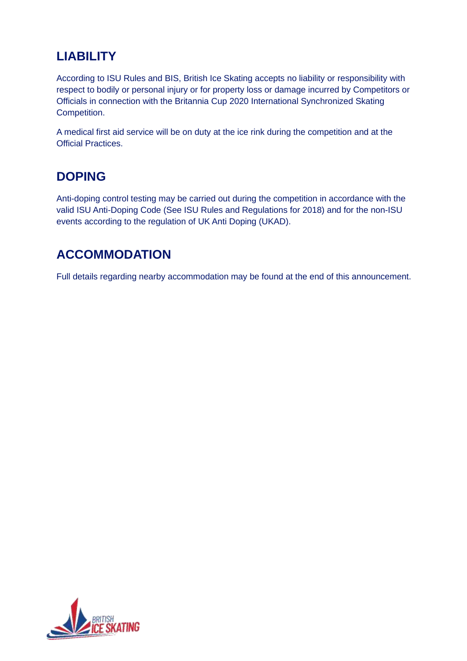### **LIABILITY**

According to ISU Rules and BIS, British Ice Skating accepts no liability or responsibility with respect to bodily or personal injury or for property loss or damage incurred by Competitors or Officials in connection with the Britannia Cup 2020 International Synchronized Skating Competition.

A medical first aid service will be on duty at the ice rink during the competition and at the Official Practices.

### **DOPING**

Anti-doping control testing may be carried out during the competition in accordance with the valid ISU Anti-Doping Code (See ISU Rules and Regulations for 2018) and for the non-ISU events according to the regulation of UK Anti Doping (UKAD).

### **ACCOMMODATION**

Full details regarding nearby accommodation may be found at the end of this announcement.

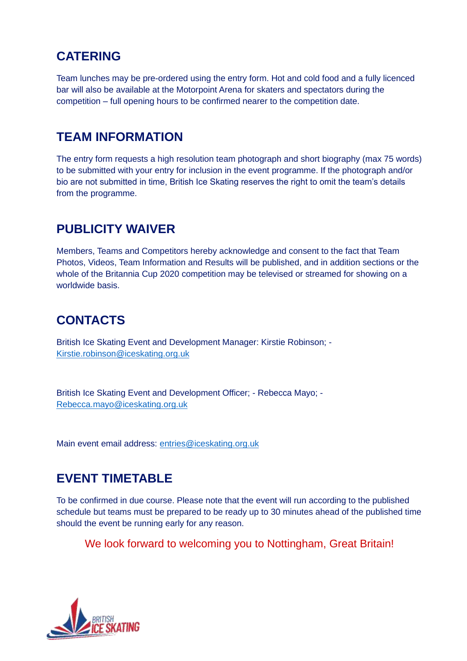### **CATERING**

Team lunches may be pre-ordered using the entry form. Hot and cold food and a fully licenced bar will also be available at the Motorpoint Arena for skaters and spectators during the competition – full opening hours to be confirmed nearer to the competition date.

### **TEAM INFORMATION**

The entry form requests a high resolution team photograph and short biography (max 75 words) to be submitted with your entry for inclusion in the event programme. If the photograph and/or bio are not submitted in time, British Ice Skating reserves the right to omit the team's details from the programme.

### **PUBLICITY WAIVER**

Members, Teams and Competitors hereby acknowledge and consent to the fact that Team Photos, Videos, Team Information and Results will be published, and in addition sections or the whole of the Britannia Cup 2020 competition may be televised or streamed for showing on a worldwide basis.

### **CONTACTS**

British Ice Skating Event and Development Manager: Kirstie Robinson; - [Kirstie.robinson@iceskating.org.uk](mailto:Kirstie.robinson@iceskating.org.uk)

British Ice Skating Event and Development Officer; - Rebecca Mayo; - [Rebecca.mayo@iceskating.org.uk](mailto:Rebecca.mayo@iceskating.org.uk)

Main event email address: [entries@iceskating.org.uk](mailto:entries@iceskating.org.uk)

### **EVENT TIMETABLE**

To be confirmed in due course. Please note that the event will run according to the published schedule but teams must be prepared to be ready up to 30 minutes ahead of the published time should the event be running early for any reason.

We look forward to welcoming you to Nottingham, Great Britain!

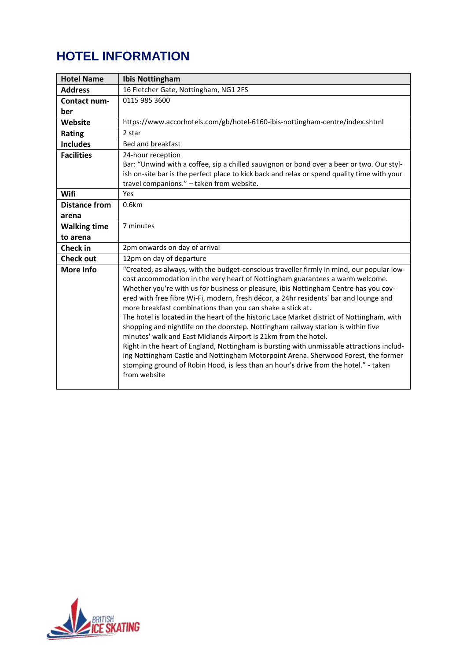### **HOTEL INFORMATION**

| <b>Hotel Name</b>    | <b>Ibis Nottingham</b>                                                                                                                                                                                                                                                                                                                                                                                                                                                                                                                                                                                                                                                                                                                                                                                                                                                                                                                                                     |
|----------------------|----------------------------------------------------------------------------------------------------------------------------------------------------------------------------------------------------------------------------------------------------------------------------------------------------------------------------------------------------------------------------------------------------------------------------------------------------------------------------------------------------------------------------------------------------------------------------------------------------------------------------------------------------------------------------------------------------------------------------------------------------------------------------------------------------------------------------------------------------------------------------------------------------------------------------------------------------------------------------|
| <b>Address</b>       | 16 Fletcher Gate, Nottingham, NG1 2FS                                                                                                                                                                                                                                                                                                                                                                                                                                                                                                                                                                                                                                                                                                                                                                                                                                                                                                                                      |
| Contact num-         | 0115 985 3600                                                                                                                                                                                                                                                                                                                                                                                                                                                                                                                                                                                                                                                                                                                                                                                                                                                                                                                                                              |
| ber                  |                                                                                                                                                                                                                                                                                                                                                                                                                                                                                                                                                                                                                                                                                                                                                                                                                                                                                                                                                                            |
| Website              | https://www.accorhotels.com/gb/hotel-6160-ibis-nottingham-centre/index.shtml                                                                                                                                                                                                                                                                                                                                                                                                                                                                                                                                                                                                                                                                                                                                                                                                                                                                                               |
| Rating               | 2 star                                                                                                                                                                                                                                                                                                                                                                                                                                                                                                                                                                                                                                                                                                                                                                                                                                                                                                                                                                     |
| <b>Includes</b>      | Bed and breakfast                                                                                                                                                                                                                                                                                                                                                                                                                                                                                                                                                                                                                                                                                                                                                                                                                                                                                                                                                          |
| <b>Facilities</b>    | 24-hour reception<br>Bar: "Unwind with a coffee, sip a chilled sauvignon or bond over a beer or two. Our styl-<br>ish on-site bar is the perfect place to kick back and relax or spend quality time with your<br>travel companions." - taken from website.                                                                                                                                                                                                                                                                                                                                                                                                                                                                                                                                                                                                                                                                                                                 |
| Wifi                 | Yes                                                                                                                                                                                                                                                                                                                                                                                                                                                                                                                                                                                                                                                                                                                                                                                                                                                                                                                                                                        |
| <b>Distance from</b> | 0.6km                                                                                                                                                                                                                                                                                                                                                                                                                                                                                                                                                                                                                                                                                                                                                                                                                                                                                                                                                                      |
| arena                |                                                                                                                                                                                                                                                                                                                                                                                                                                                                                                                                                                                                                                                                                                                                                                                                                                                                                                                                                                            |
| <b>Walking time</b>  | 7 minutes                                                                                                                                                                                                                                                                                                                                                                                                                                                                                                                                                                                                                                                                                                                                                                                                                                                                                                                                                                  |
| to arena             |                                                                                                                                                                                                                                                                                                                                                                                                                                                                                                                                                                                                                                                                                                                                                                                                                                                                                                                                                                            |
| <b>Check in</b>      | 2pm onwards on day of arrival                                                                                                                                                                                                                                                                                                                                                                                                                                                                                                                                                                                                                                                                                                                                                                                                                                                                                                                                              |
| <b>Check out</b>     | 12pm on day of departure                                                                                                                                                                                                                                                                                                                                                                                                                                                                                                                                                                                                                                                                                                                                                                                                                                                                                                                                                   |
| <b>More Info</b>     | "Created, as always, with the budget-conscious traveller firmly in mind, our popular low-<br>cost accommodation in the very heart of Nottingham guarantees a warm welcome.<br>Whether you're with us for business or pleasure, ibis Nottingham Centre has you cov-<br>ered with free fibre Wi-Fi, modern, fresh décor, a 24hr residents' bar and lounge and<br>more breakfast combinations than you can shake a stick at.<br>The hotel is located in the heart of the historic Lace Market district of Nottingham, with<br>shopping and nightlife on the doorstep. Nottingham railway station is within five<br>minutes' walk and East Midlands Airport is 21km from the hotel.<br>Right in the heart of England, Nottingham is bursting with unmissable attractions includ-<br>ing Nottingham Castle and Nottingham Motorpoint Arena. Sherwood Forest, the former<br>stomping ground of Robin Hood, is less than an hour's drive from the hotel." - taken<br>from website |

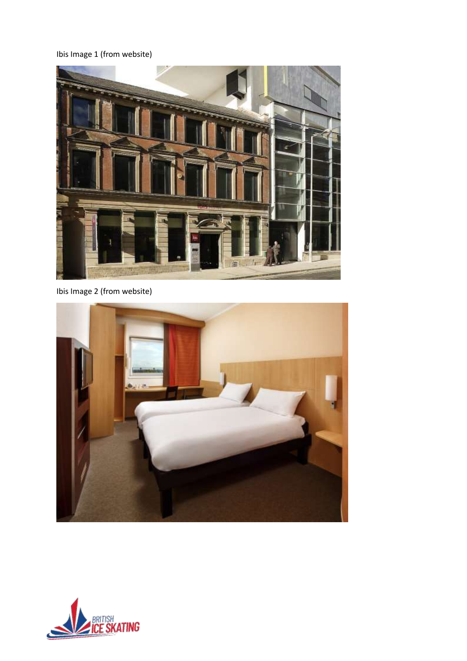Ibis Image 1 (from website)



Ibis Image 2 (from website)



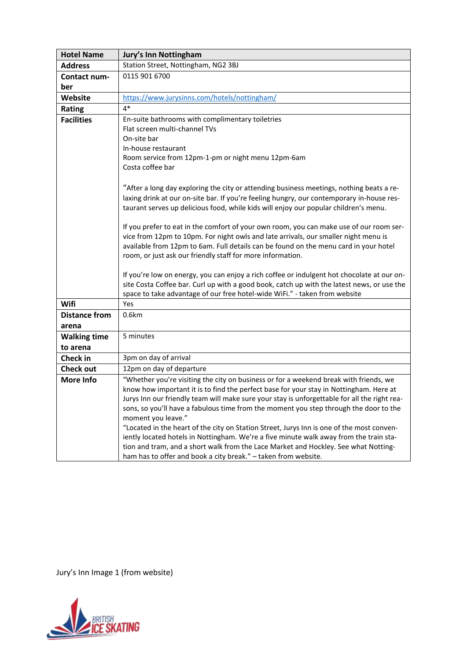| <b>Hotel Name</b>    | <b>Jury's Inn Nottingham</b>                                                                                                                                                   |  |  |
|----------------------|--------------------------------------------------------------------------------------------------------------------------------------------------------------------------------|--|--|
| <b>Address</b>       | Station Street, Nottingham, NG2 3BJ                                                                                                                                            |  |  |
| Contact num-         | 0115 901 6700                                                                                                                                                                  |  |  |
| ber                  |                                                                                                                                                                                |  |  |
| <b>Website</b>       | https://www.jurysinns.com/hotels/nottingham/                                                                                                                                   |  |  |
| <b>Rating</b>        | $4*$                                                                                                                                                                           |  |  |
| <b>Facilities</b>    | En-suite bathrooms with complimentary toiletries                                                                                                                               |  |  |
|                      | Flat screen multi-channel TVs                                                                                                                                                  |  |  |
|                      | On-site bar                                                                                                                                                                    |  |  |
|                      | In-house restaurant                                                                                                                                                            |  |  |
|                      | Room service from 12pm-1-pm or night menu 12pm-6am                                                                                                                             |  |  |
|                      | Costa coffee bar                                                                                                                                                               |  |  |
|                      |                                                                                                                                                                                |  |  |
|                      | "After a long day exploring the city or attending business meetings, nothing beats a re-                                                                                       |  |  |
|                      | laxing drink at our on-site bar. If you're feeling hungry, our contemporary in-house res-                                                                                      |  |  |
|                      | taurant serves up delicious food, while kids will enjoy our popular children's menu.                                                                                           |  |  |
|                      |                                                                                                                                                                                |  |  |
|                      | If you prefer to eat in the comfort of your own room, you can make use of our room ser-<br>vice from 12pm to 10pm. For night owls and late arrivals, our smaller night menu is |  |  |
|                      | available from 12pm to 6am. Full details can be found on the menu card in your hotel                                                                                           |  |  |
|                      | room, or just ask our friendly staff for more information.                                                                                                                     |  |  |
|                      |                                                                                                                                                                                |  |  |
|                      | If you're low on energy, you can enjoy a rich coffee or indulgent hot chocolate at our on-                                                                                     |  |  |
|                      | site Costa Coffee bar. Curl up with a good book, catch up with the latest news, or use the                                                                                     |  |  |
|                      | space to take advantage of our free hotel-wide WiFi." - taken from website                                                                                                     |  |  |
| Wifi                 | Yes                                                                                                                                                                            |  |  |
| <b>Distance from</b> | 0.6km                                                                                                                                                                          |  |  |
| arena                |                                                                                                                                                                                |  |  |
| <b>Walking time</b>  | 5 minutes                                                                                                                                                                      |  |  |
| to arena             |                                                                                                                                                                                |  |  |
| <b>Check in</b>      | 3pm on day of arrival                                                                                                                                                          |  |  |
| <b>Check out</b>     | 12pm on day of departure                                                                                                                                                       |  |  |
| <b>More Info</b>     | "Whether you're visiting the city on business or for a weekend break with friends, we                                                                                          |  |  |
|                      | know how important it is to find the perfect base for your stay in Nottingham. Here at                                                                                         |  |  |
|                      | Jurys Inn our friendly team will make sure your stay is unforgettable for all the right rea-                                                                                   |  |  |
|                      | sons, so you'll have a fabulous time from the moment you step through the door to the                                                                                          |  |  |
|                      | moment you leave."                                                                                                                                                             |  |  |
|                      | "Located in the heart of the city on Station Street, Jurys Inn is one of the most conven-                                                                                      |  |  |
|                      | iently located hotels in Nottingham. We're a five minute walk away from the train sta-                                                                                         |  |  |
|                      | tion and tram, and a short walk from the Lace Market and Hockley. See what Notting-                                                                                            |  |  |
|                      | ham has to offer and book a city break." - taken from website.                                                                                                                 |  |  |

Jury's Inn Image 1 (from website)

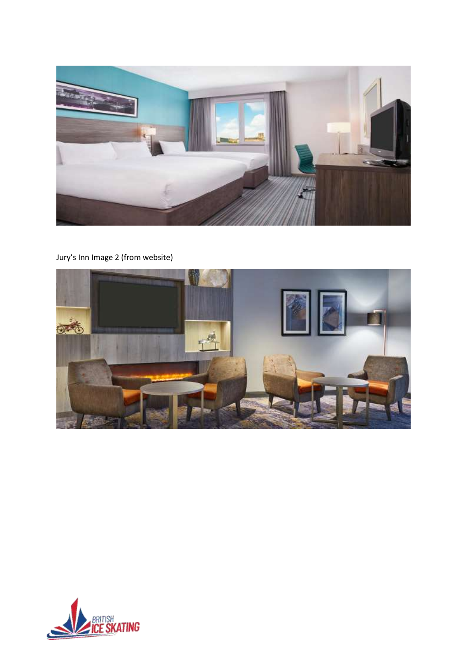

#### Jury's Inn Image 2 (from website)



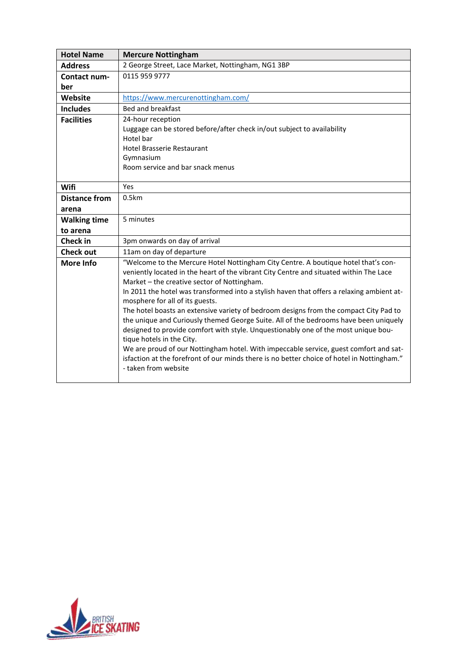| <b>Hotel Name</b>    | <b>Mercure Nottingham</b>                                                                                                                                                                                                                                                                                                                                                                                                                                                                                                                                                                                                                                                                                                                                                                                                                                                      |
|----------------------|--------------------------------------------------------------------------------------------------------------------------------------------------------------------------------------------------------------------------------------------------------------------------------------------------------------------------------------------------------------------------------------------------------------------------------------------------------------------------------------------------------------------------------------------------------------------------------------------------------------------------------------------------------------------------------------------------------------------------------------------------------------------------------------------------------------------------------------------------------------------------------|
| <b>Address</b>       | 2 George Street, Lace Market, Nottingham, NG1 3BP                                                                                                                                                                                                                                                                                                                                                                                                                                                                                                                                                                                                                                                                                                                                                                                                                              |
| Contact num-         | 0115 959 9777                                                                                                                                                                                                                                                                                                                                                                                                                                                                                                                                                                                                                                                                                                                                                                                                                                                                  |
| ber                  |                                                                                                                                                                                                                                                                                                                                                                                                                                                                                                                                                                                                                                                                                                                                                                                                                                                                                |
| Website              | https://www.mercurenottingham.com/                                                                                                                                                                                                                                                                                                                                                                                                                                                                                                                                                                                                                                                                                                                                                                                                                                             |
| <b>Includes</b>      | <b>Bed and breakfast</b>                                                                                                                                                                                                                                                                                                                                                                                                                                                                                                                                                                                                                                                                                                                                                                                                                                                       |
| <b>Facilities</b>    | 24-hour reception<br>Luggage can be stored before/after check in/out subject to availability<br>Hotel bar<br><b>Hotel Brasserie Restaurant</b><br>Gymnasium<br>Room service and bar snack menus                                                                                                                                                                                                                                                                                                                                                                                                                                                                                                                                                                                                                                                                                |
| Wifi                 | Yes                                                                                                                                                                                                                                                                                                                                                                                                                                                                                                                                                                                                                                                                                                                                                                                                                                                                            |
| <b>Distance from</b> | 0.5km                                                                                                                                                                                                                                                                                                                                                                                                                                                                                                                                                                                                                                                                                                                                                                                                                                                                          |
| arena                |                                                                                                                                                                                                                                                                                                                                                                                                                                                                                                                                                                                                                                                                                                                                                                                                                                                                                |
| <b>Walking time</b>  | 5 minutes                                                                                                                                                                                                                                                                                                                                                                                                                                                                                                                                                                                                                                                                                                                                                                                                                                                                      |
| to arena             |                                                                                                                                                                                                                                                                                                                                                                                                                                                                                                                                                                                                                                                                                                                                                                                                                                                                                |
| <b>Check in</b>      | 3pm onwards on day of arrival                                                                                                                                                                                                                                                                                                                                                                                                                                                                                                                                                                                                                                                                                                                                                                                                                                                  |
| <b>Check out</b>     | 11am on day of departure                                                                                                                                                                                                                                                                                                                                                                                                                                                                                                                                                                                                                                                                                                                                                                                                                                                       |
| <b>More Info</b>     | "Welcome to the Mercure Hotel Nottingham City Centre. A boutique hotel that's con-<br>veniently located in the heart of the vibrant City Centre and situated within The Lace<br>Market - the creative sector of Nottingham.<br>In 2011 the hotel was transformed into a stylish haven that offers a relaxing ambient at-<br>mosphere for all of its guests.<br>The hotel boasts an extensive variety of bedroom designs from the compact City Pad to<br>the unique and Curiously themed George Suite. All of the bedrooms have been uniquely<br>designed to provide comfort with style. Unquestionably one of the most unique bou-<br>tique hotels in the City.<br>We are proud of our Nottingham hotel. With impeccable service, guest comfort and sat-<br>isfaction at the forefront of our minds there is no better choice of hotel in Nottingham."<br>- taken from website |

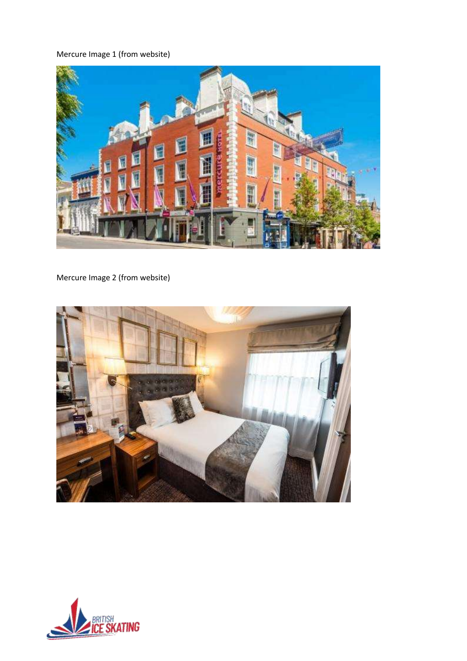#### Mercure Image 1 (from website)



Mercure Image 2 (from website)



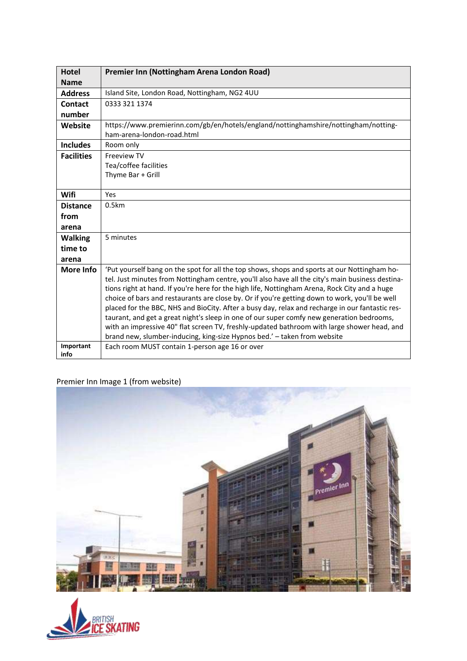| <b>Hotel</b>      | Premier Inn (Nottingham Arena London Road)                                                                                                                                                                                                                                                                                                                                                                                                                                                                                                                                                                                                                                                                                                                                     |
|-------------------|--------------------------------------------------------------------------------------------------------------------------------------------------------------------------------------------------------------------------------------------------------------------------------------------------------------------------------------------------------------------------------------------------------------------------------------------------------------------------------------------------------------------------------------------------------------------------------------------------------------------------------------------------------------------------------------------------------------------------------------------------------------------------------|
| <b>Name</b>       |                                                                                                                                                                                                                                                                                                                                                                                                                                                                                                                                                                                                                                                                                                                                                                                |
| <b>Address</b>    | Island Site, London Road, Nottingham, NG2 4UU                                                                                                                                                                                                                                                                                                                                                                                                                                                                                                                                                                                                                                                                                                                                  |
| Contact           | 0333 321 1374                                                                                                                                                                                                                                                                                                                                                                                                                                                                                                                                                                                                                                                                                                                                                                  |
| number            |                                                                                                                                                                                                                                                                                                                                                                                                                                                                                                                                                                                                                                                                                                                                                                                |
| Website           | https://www.premierinn.com/gb/en/hotels/england/nottinghamshire/nottingham/notting-<br>ham-arena-london-road.html                                                                                                                                                                                                                                                                                                                                                                                                                                                                                                                                                                                                                                                              |
| <b>Includes</b>   | Room only                                                                                                                                                                                                                                                                                                                                                                                                                                                                                                                                                                                                                                                                                                                                                                      |
| <b>Facilities</b> | <b>Freeview TV</b><br>Tea/coffee facilities<br>Thyme Bar + Grill                                                                                                                                                                                                                                                                                                                                                                                                                                                                                                                                                                                                                                                                                                               |
| Wifi              | Yes                                                                                                                                                                                                                                                                                                                                                                                                                                                                                                                                                                                                                                                                                                                                                                            |
| <b>Distance</b>   | 0.5km                                                                                                                                                                                                                                                                                                                                                                                                                                                                                                                                                                                                                                                                                                                                                                          |
| from              |                                                                                                                                                                                                                                                                                                                                                                                                                                                                                                                                                                                                                                                                                                                                                                                |
| arena             |                                                                                                                                                                                                                                                                                                                                                                                                                                                                                                                                                                                                                                                                                                                                                                                |
| <b>Walking</b>    | 5 minutes                                                                                                                                                                                                                                                                                                                                                                                                                                                                                                                                                                                                                                                                                                                                                                      |
| time to           |                                                                                                                                                                                                                                                                                                                                                                                                                                                                                                                                                                                                                                                                                                                                                                                |
| arena             |                                                                                                                                                                                                                                                                                                                                                                                                                                                                                                                                                                                                                                                                                                                                                                                |
| More Info         | 'Put yourself bang on the spot for all the top shows, shops and sports at our Nottingham ho-<br>tel. Just minutes from Nottingham centre, you'll also have all the city's main business destina-<br>tions right at hand. If you're here for the high life, Nottingham Arena, Rock City and a huge<br>choice of bars and restaurants are close by. Or if you're getting down to work, you'll be well<br>placed for the BBC, NHS and BioCity. After a busy day, relax and recharge in our fantastic res-<br>taurant, and get a great night's sleep in one of our super comfy new generation bedrooms,<br>with an impressive 40" flat screen TV, freshly-updated bathroom with large shower head, and<br>brand new, slumber-inducing, king-size Hypnos bed.' - taken from website |
| Important<br>info | Each room MUST contain 1-person age 16 or over                                                                                                                                                                                                                                                                                                                                                                                                                                                                                                                                                                                                                                                                                                                                 |
|                   |                                                                                                                                                                                                                                                                                                                                                                                                                                                                                                                                                                                                                                                                                                                                                                                |

#### Premier Inn Image 1 (from website)



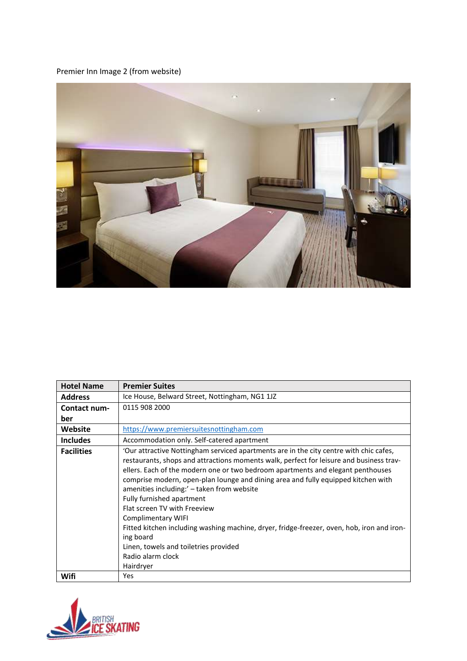#### Premier Inn Image 2 (from website)



| <b>Hotel Name</b> | <b>Premier Suites</b>                                                                                                                                                                                                                                                                                                                                                                                                                                                                                                                                                                                                                                                            |
|-------------------|----------------------------------------------------------------------------------------------------------------------------------------------------------------------------------------------------------------------------------------------------------------------------------------------------------------------------------------------------------------------------------------------------------------------------------------------------------------------------------------------------------------------------------------------------------------------------------------------------------------------------------------------------------------------------------|
| <b>Address</b>    | Ice House, Belward Street, Nottingham, NG1 1JZ                                                                                                                                                                                                                                                                                                                                                                                                                                                                                                                                                                                                                                   |
| Contact num-      | 0115 908 2000                                                                                                                                                                                                                                                                                                                                                                                                                                                                                                                                                                                                                                                                    |
| ber               |                                                                                                                                                                                                                                                                                                                                                                                                                                                                                                                                                                                                                                                                                  |
| Website           | https://www.premiersuitesnottingham.com                                                                                                                                                                                                                                                                                                                                                                                                                                                                                                                                                                                                                                          |
| <b>Includes</b>   | Accommodation only. Self-catered apartment                                                                                                                                                                                                                                                                                                                                                                                                                                                                                                                                                                                                                                       |
| <b>Facilities</b> | 'Our attractive Nottingham serviced apartments are in the city centre with chic cafes,<br>restaurants, shops and attractions moments walk, perfect for leisure and business trav-<br>ellers. Each of the modern one or two bedroom apartments and elegant penthouses<br>comprise modern, open-plan lounge and dining area and fully equipped kitchen with<br>amenities including:' - taken from website<br>Fully furnished apartment<br>Flat screen TV with Freeview<br>Complimentary WIFI<br>Fitted kitchen including washing machine, dryer, fridge-freezer, oven, hob, iron and iron-<br>ing board<br>Linen, towels and toiletries provided<br>Radio alarm clock<br>Hairdryer |
| Wifi              | <b>Yes</b>                                                                                                                                                                                                                                                                                                                                                                                                                                                                                                                                                                                                                                                                       |

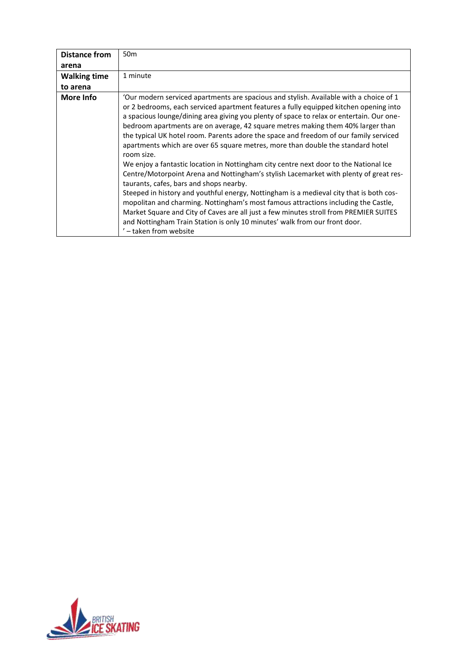| <b>Distance from</b> | 50 <sub>m</sub>                                                                                                                                                                                                                                                                                                                                                                                                                                                                                                                                                                                                                                                                                                                                                                                                                                                                                                                                                                                                                                                                                                                                                        |
|----------------------|------------------------------------------------------------------------------------------------------------------------------------------------------------------------------------------------------------------------------------------------------------------------------------------------------------------------------------------------------------------------------------------------------------------------------------------------------------------------------------------------------------------------------------------------------------------------------------------------------------------------------------------------------------------------------------------------------------------------------------------------------------------------------------------------------------------------------------------------------------------------------------------------------------------------------------------------------------------------------------------------------------------------------------------------------------------------------------------------------------------------------------------------------------------------|
| arena                |                                                                                                                                                                                                                                                                                                                                                                                                                                                                                                                                                                                                                                                                                                                                                                                                                                                                                                                                                                                                                                                                                                                                                                        |
| <b>Walking time</b>  | 1 minute                                                                                                                                                                                                                                                                                                                                                                                                                                                                                                                                                                                                                                                                                                                                                                                                                                                                                                                                                                                                                                                                                                                                                               |
| to arena             |                                                                                                                                                                                                                                                                                                                                                                                                                                                                                                                                                                                                                                                                                                                                                                                                                                                                                                                                                                                                                                                                                                                                                                        |
| More Info            | Our modern serviced apartments are spacious and stylish. Available with a choice of 1<br>or 2 bedrooms, each serviced apartment features a fully equipped kitchen opening into<br>a spacious lounge/dining area giving you plenty of space to relax or entertain. Our one-<br>bedroom apartments are on average, 42 square metres making them 40% larger than<br>the typical UK hotel room. Parents adore the space and freedom of our family serviced<br>apartments which are over 65 square metres, more than double the standard hotel<br>room size.<br>We enjoy a fantastic location in Nottingham city centre next door to the National Ice<br>Centre/Motorpoint Arena and Nottingham's stylish Lacemarket with plenty of great res-<br>taurants, cafes, bars and shops nearby.<br>Steeped in history and youthful energy, Nottingham is a medieval city that is both cos-<br>mopolitan and charming. Nottingham's most famous attractions including the Castle,<br>Market Square and City of Caves are all just a few minutes stroll from PREMIER SUITES<br>and Nottingham Train Station is only 10 minutes' walk from our front door.<br>' - taken from website |